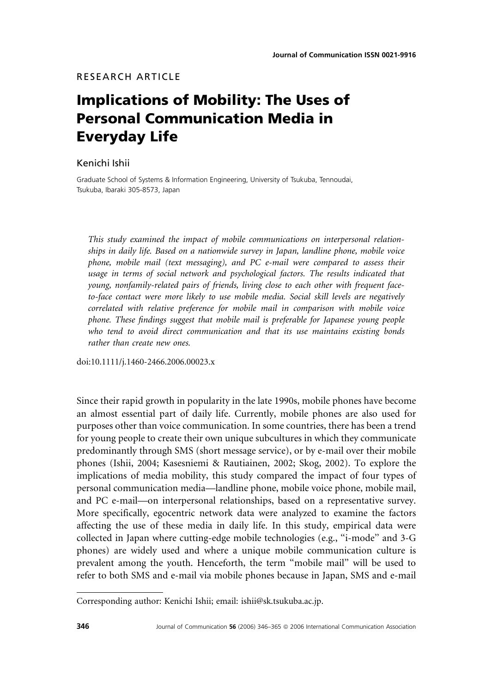# Implications of Mobility: The Uses of Personal Communication Media in Everyday Life

### Kenichi Ishii

Graduate School of Systems & Information Engineering, University of Tsukuba, Tennoudai, Tsukuba, Ibaraki 305-8573, Japan

This study examined the impact of mobile communications on interpersonal relationships in daily life. Based on a nationwide survey in Japan, landline phone, mobile voice phone, mobile mail (text messaging), and PC e-mail were compared to assess their usage in terms of social network and psychological factors. The results indicated that young, nonfamily-related pairs of friends, living close to each other with frequent faceto-face contact were more likely to use mobile media. Social skill levels are negatively correlated with relative preference for mobile mail in comparison with mobile voice phone. These findings suggest that mobile mail is preferable for Japanese young people who tend to avoid direct communication and that its use maintains existing bonds rather than create new ones.

doi:10.1111/j.1460-2466.2006.00023.x

Since their rapid growth in popularity in the late 1990s, mobile phones have become an almost essential part of daily life. Currently, mobile phones are also used for purposes other than voice communication. In some countries, there has been a trend for young people to create their own unique subcultures in which they communicate predominantly through SMS (short message service), or by e-mail over their mobile phones (Ishii, 2004; Kasesniemi & Rautiainen, 2002; Skog, 2002). To explore the implications of media mobility, this study compared the impact of four types of personal communication media—landline phone, mobile voice phone, mobile mail, and PC e-mail—on interpersonal relationships, based on a representative survey. More specifically, egocentric network data were analyzed to examine the factors affecting the use of these media in daily life. In this study, empirical data were collected in Japan where cutting-edge mobile technologies (e.g., ''i-mode'' and 3-G phones) are widely used and where a unique mobile communication culture is prevalent among the youth. Henceforth, the term ''mobile mail'' will be used to refer to both SMS and e-mail via mobile phones because in Japan, SMS and e-mail

Corresponding author: Kenichi Ishii; email: ishii@sk.tsukuba.ac.jp.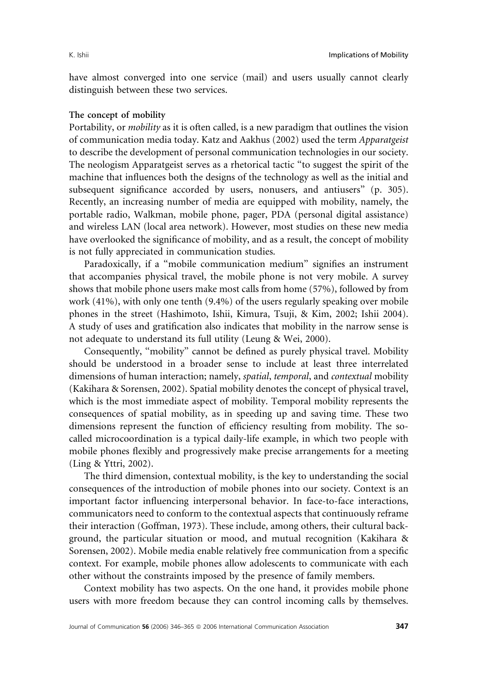have almost converged into one service (mail) and users usually cannot clearly distinguish between these two services.

### The concept of mobility

Portability, or *mobility* as it is often called, is a new paradigm that outlines the vision of communication media today. Katz and Aakhus (2002) used the term Apparatgeist to describe the development of personal communication technologies in our society. The neologism Apparatgeist serves as a rhetorical tactic ''to suggest the spirit of the machine that influences both the designs of the technology as well as the initial and subsequent significance accorded by users, nonusers, and antiusers'' (p. 305). Recently, an increasing number of media are equipped with mobility, namely, the portable radio, Walkman, mobile phone, pager, PDA (personal digital assistance) and wireless LAN (local area network). However, most studies on these new media have overlooked the significance of mobility, and as a result, the concept of mobility is not fully appreciated in communication studies.

Paradoxically, if a "mobile communication medium" signifies an instrument that accompanies physical travel, the mobile phone is not very mobile. A survey shows that mobile phone users make most calls from home (57%), followed by from work (41%), with only one tenth (9.4%) of the users regularly speaking over mobile phones in the street (Hashimoto, Ishii, Kimura, Tsuji, & Kim, 2002; Ishii 2004). A study of uses and gratification also indicates that mobility in the narrow sense is not adequate to understand its full utility (Leung & Wei, 2000).

Consequently, "mobility" cannot be defined as purely physical travel. Mobility should be understood in a broader sense to include at least three interrelated dimensions of human interaction; namely, *spatial*, temporal, and contextual mobility (Kakihara & Sorensen, 2002). Spatial mobility denotes the concept of physical travel, which is the most immediate aspect of mobility. Temporal mobility represents the consequences of spatial mobility, as in speeding up and saving time. These two dimensions represent the function of efficiency resulting from mobility. The socalled microcoordination is a typical daily-life example, in which two people with mobile phones flexibly and progressively make precise arrangements for a meeting (Ling & Yttri, 2002).

The third dimension, contextual mobility, is the key to understanding the social consequences of the introduction of mobile phones into our society. Context is an important factor influencing interpersonal behavior. In face-to-face interactions, communicators need to conform to the contextual aspects that continuously reframe their interaction (Goffman, 1973). These include, among others, their cultural background, the particular situation or mood, and mutual recognition (Kakihara & Sorensen, 2002). Mobile media enable relatively free communication from a specific context. For example, mobile phones allow adolescents to communicate with each other without the constraints imposed by the presence of family members.

Context mobility has two aspects. On the one hand, it provides mobile phone users with more freedom because they can control incoming calls by themselves.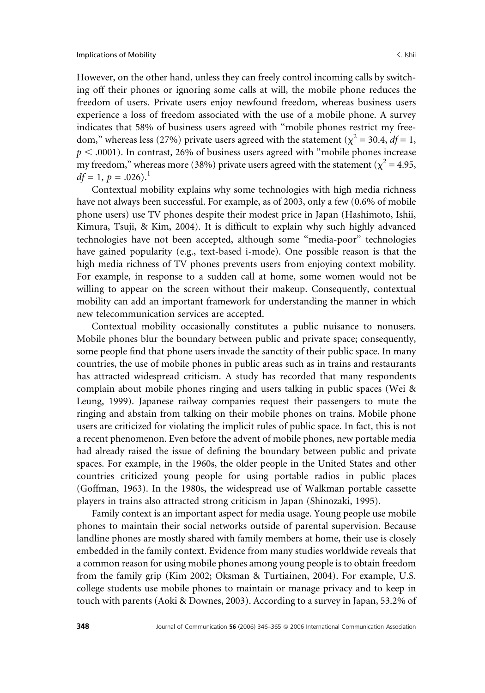However, on the other hand, unless they can freely control incoming calls by switching off their phones or ignoring some calls at will, the mobile phone reduces the freedom of users. Private users enjoy newfound freedom, whereas business users experience a loss of freedom associated with the use of a mobile phone. A survey indicates that 58% of business users agreed with ''mobile phones restrict my freedom," whereas less (27%) private users agreed with the statement ( $\chi^2$  = 30.4, df = 1,  $p < .0001$ ). In contrast, 26% of business users agreed with "mobile phones increase my freedom," whereas more (38%) private users agreed with the statement ( $\chi^2$  = 4.95,  $df = 1, p = .026$ .

Contextual mobility explains why some technologies with high media richness have not always been successful. For example, as of 2003, only a few (0.6% of mobile phone users) use TV phones despite their modest price in Japan (Hashimoto, Ishii, Kimura, Tsuji, & Kim, 2004). It is difficult to explain why such highly advanced technologies have not been accepted, although some ''media-poor'' technologies have gained popularity (e.g., text-based i-mode). One possible reason is that the high media richness of TV phones prevents users from enjoying context mobility. For example, in response to a sudden call at home, some women would not be willing to appear on the screen without their makeup. Consequently, contextual mobility can add an important framework for understanding the manner in which new telecommunication services are accepted.

Contextual mobility occasionally constitutes a public nuisance to nonusers. Mobile phones blur the boundary between public and private space; consequently, some people find that phone users invade the sanctity of their public space. In many countries, the use of mobile phones in public areas such as in trains and restaurants has attracted widespread criticism. A study has recorded that many respondents complain about mobile phones ringing and users talking in public spaces (Wei & Leung, 1999). Japanese railway companies request their passengers to mute the ringing and abstain from talking on their mobile phones on trains. Mobile phone users are criticized for violating the implicit rules of public space. In fact, this is not a recent phenomenon. Even before the advent of mobile phones, new portable media had already raised the issue of defining the boundary between public and private spaces. For example, in the 1960s, the older people in the United States and other countries criticized young people for using portable radios in public places (Goffman, 1963). In the 1980s, the widespread use of Walkman portable cassette players in trains also attracted strong criticism in Japan (Shinozaki, 1995).

Family context is an important aspect for media usage. Young people use mobile phones to maintain their social networks outside of parental supervision. Because landline phones are mostly shared with family members at home, their use is closely embedded in the family context. Evidence from many studies worldwide reveals that a common reason for using mobile phones among young people is to obtain freedom from the family grip (Kim 2002; Oksman & Turtiainen, 2004). For example, U.S. college students use mobile phones to maintain or manage privacy and to keep in touch with parents (Aoki & Downes, 2003). According to a survey in Japan, 53.2% of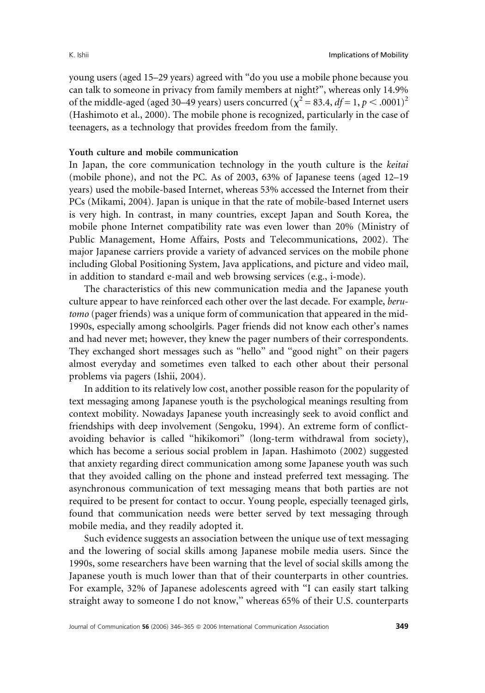young users (aged 15–29 years) agreed with ''do you use a mobile phone because you can talk to someone in privacy from family members at night?'', whereas only 14.9% of the middle-aged (aged 30–49 years) users concurred ( $\chi^2 = 83.4$ ,  $df = 1$ ,  $p < .0001$ )<sup>2</sup> (Hashimoto et al., 2000). The mobile phone is recognized, particularly in the case of teenagers, as a technology that provides freedom from the family.

### Youth culture and mobile communication

In Japan, the core communication technology in the youth culture is the keitai (mobile phone), and not the PC. As of 2003, 63% of Japanese teens (aged 12–19 years) used the mobile-based Internet, whereas 53% accessed the Internet from their PCs (Mikami, 2004). Japan is unique in that the rate of mobile-based Internet users is very high. In contrast, in many countries, except Japan and South Korea, the mobile phone Internet compatibility rate was even lower than 20% (Ministry of Public Management, Home Affairs, Posts and Telecommunications, 2002). The major Japanese carriers provide a variety of advanced services on the mobile phone including Global Positioning System, Java applications, and picture and video mail, in addition to standard e-mail and web browsing services (e.g., i-mode).

The characteristics of this new communication media and the Japanese youth culture appear to have reinforced each other over the last decade. For example, berutomo (pager friends) was a unique form of communication that appeared in the mid-1990s, especially among schoolgirls. Pager friends did not know each other's names and had never met; however, they knew the pager numbers of their correspondents. They exchanged short messages such as ''hello'' and ''good night'' on their pagers almost everyday and sometimes even talked to each other about their personal problems via pagers (Ishii, 2004).

In addition to its relatively low cost, another possible reason for the popularity of text messaging among Japanese youth is the psychological meanings resulting from context mobility. Nowadays Japanese youth increasingly seek to avoid conflict and friendships with deep involvement (Sengoku, 1994). An extreme form of conflictavoiding behavior is called ''hikikomori'' (long-term withdrawal from society), which has become a serious social problem in Japan. Hashimoto (2002) suggested that anxiety regarding direct communication among some Japanese youth was such that they avoided calling on the phone and instead preferred text messaging. The asynchronous communication of text messaging means that both parties are not required to be present for contact to occur. Young people, especially teenaged girls, found that communication needs were better served by text messaging through mobile media, and they readily adopted it.

Such evidence suggests an association between the unique use of text messaging and the lowering of social skills among Japanese mobile media users. Since the 1990s, some researchers have been warning that the level of social skills among the Japanese youth is much lower than that of their counterparts in other countries. For example, 32% of Japanese adolescents agreed with ''I can easily start talking straight away to someone I do not know,'' whereas 65% of their U.S. counterparts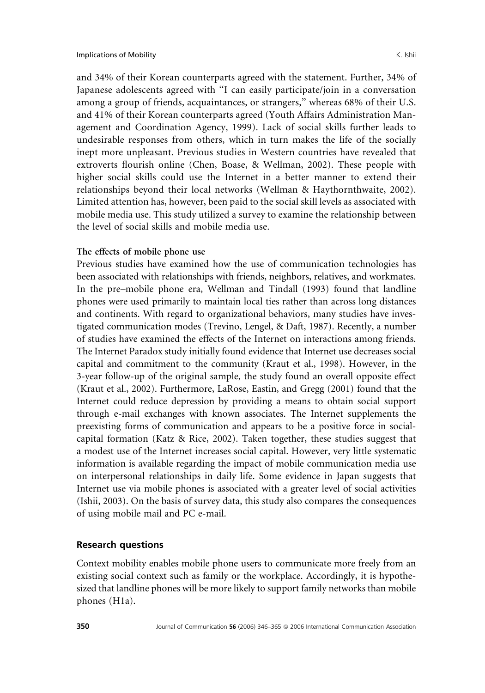and 34% of their Korean counterparts agreed with the statement. Further, 34% of Japanese adolescents agreed with ''I can easily participate/join in a conversation among a group of friends, acquaintances, or strangers,'' whereas 68% of their U.S. and 41% of their Korean counterparts agreed (Youth Affairs Administration Management and Coordination Agency, 1999). Lack of social skills further leads to undesirable responses from others, which in turn makes the life of the socially inept more unpleasant. Previous studies in Western countries have revealed that extroverts flourish online (Chen, Boase, & Wellman, 2002). These people with higher social skills could use the Internet in a better manner to extend their relationships beyond their local networks (Wellman & Haythornthwaite, 2002). Limited attention has, however, been paid to the social skill levels as associated with mobile media use. This study utilized a survey to examine the relationship between the level of social skills and mobile media use.

### The effects of mobile phone use

Previous studies have examined how the use of communication technologies has been associated with relationships with friends, neighbors, relatives, and workmates. In the pre–mobile phone era, Wellman and Tindall (1993) found that landline phones were used primarily to maintain local ties rather than across long distances and continents. With regard to organizational behaviors, many studies have investigated communication modes (Trevino, Lengel, & Daft, 1987). Recently, a number of studies have examined the effects of the Internet on interactions among friends. The Internet Paradox study initially found evidence that Internet use decreases social capital and commitment to the community (Kraut et al., 1998). However, in the 3-year follow-up of the original sample, the study found an overall opposite effect (Kraut et al., 2002). Furthermore, LaRose, Eastin, and Gregg (2001) found that the Internet could reduce depression by providing a means to obtain social support through e-mail exchanges with known associates. The Internet supplements the preexisting forms of communication and appears to be a positive force in socialcapital formation (Katz & Rice, 2002). Taken together, these studies suggest that a modest use of the Internet increases social capital. However, very little systematic information is available regarding the impact of mobile communication media use on interpersonal relationships in daily life. Some evidence in Japan suggests that Internet use via mobile phones is associated with a greater level of social activities (Ishii, 2003). On the basis of survey data, this study also compares the consequences of using mobile mail and PC e-mail.

### Research questions

Context mobility enables mobile phone users to communicate more freely from an existing social context such as family or the workplace. Accordingly, it is hypothesized that landline phones will be more likely to support family networks than mobile phones (H1a).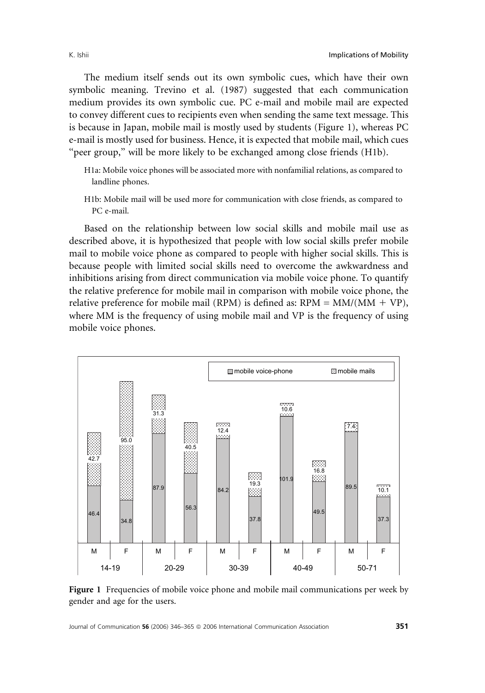The medium itself sends out its own symbolic cues, which have their own symbolic meaning. Trevino et al. (1987) suggested that each communication medium provides its own symbolic cue. PC e-mail and mobile mail are expected to convey different cues to recipients even when sending the same text message. This is because in Japan, mobile mail is mostly used by students (Figure 1), whereas PC e-mail is mostly used for business. Hence, it is expected that mobile mail, which cues "peer group," will be more likely to be exchanged among close friends (H1b).

- H1a: Mobile voice phones will be associated more with nonfamilial relations, as compared to landline phones.
- H1b: Mobile mail will be used more for communication with close friends, as compared to PC e-mail.

Based on the relationship between low social skills and mobile mail use as described above, it is hypothesized that people with low social skills prefer mobile mail to mobile voice phone as compared to people with higher social skills. This is because people with limited social skills need to overcome the awkwardness and inhibitions arising from direct communication via mobile voice phone. To quantify the relative preference for mobile mail in comparison with mobile voice phone, the relative preference for mobile mail (RPM) is defined as:  $RPM = MM/(MM + VP)$ , where MM is the frequency of using mobile mail and VP is the frequency of using mobile voice phones.



Figure 1 Frequencies of mobile voice phone and mobile mail communications per week by gender and age for the users.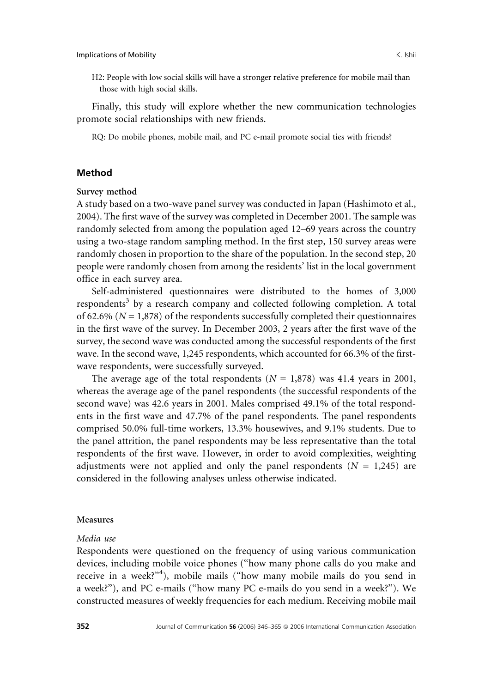H2: People with low social skills will have a stronger relative preference for mobile mail than those with high social skills.

Finally, this study will explore whether the new communication technologies promote social relationships with new friends.

RQ: Do mobile phones, mobile mail, and PC e-mail promote social ties with friends?

### Method

### Survey method

A study based on a two-wave panel survey was conducted in Japan (Hashimoto et al., 2004). The first wave of the survey was completed in December 2001. The sample was randomly selected from among the population aged 12–69 years across the country using a two-stage random sampling method. In the first step, 150 survey areas were randomly chosen in proportion to the share of the population. In the second step, 20 people were randomly chosen from among the residents' list in the local government office in each survey area.

Self-administered questionnaires were distributed to the homes of 3,000 respondents<sup>3</sup> by a research company and collected following completion. A total of 62.6% ( $N = 1,878$ ) of the respondents successfully completed their questionnaires in the first wave of the survey. In December 2003, 2 years after the first wave of the survey, the second wave was conducted among the successful respondents of the first wave. In the second wave, 1,245 respondents, which accounted for 66.3% of the firstwave respondents, were successfully surveyed.

The average age of the total respondents  $(N = 1,878)$  was 41.4 years in 2001, whereas the average age of the panel respondents (the successful respondents of the second wave) was 42.6 years in 2001. Males comprised 49.1% of the total respondents in the first wave and 47.7% of the panel respondents. The panel respondents comprised 50.0% full-time workers, 13.3% housewives, and 9.1% students. Due to the panel attrition, the panel respondents may be less representative than the total respondents of the first wave. However, in order to avoid complexities, weighting adjustments were not applied and only the panel respondents ( $N = 1,245$ ) are considered in the following analyses unless otherwise indicated.

#### Measures

#### Media use

Respondents were questioned on the frequency of using various communication devices, including mobile voice phones (''how many phone calls do you make and receive in a week?"<sup>4</sup>), mobile mails ("how many mobile mails do you send in a week?''), and PC e-mails (''how many PC e-mails do you send in a week?''). We constructed measures of weekly frequencies for each medium. Receiving mobile mail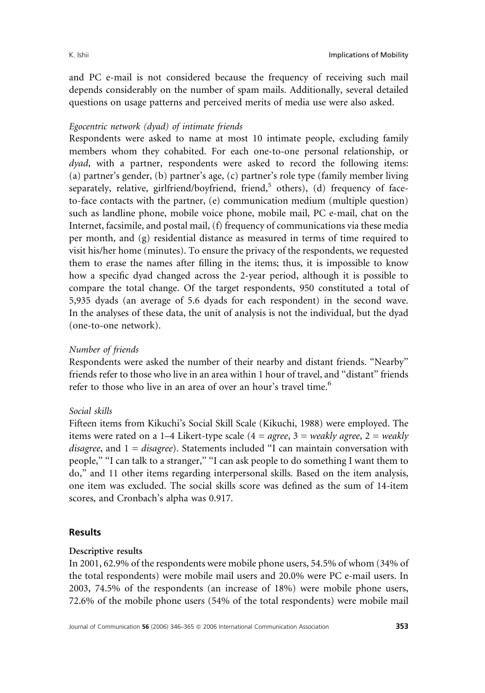and PC e-mail is not considered because the frequency of receiving such mail depends considerably on the number of spam mails. Additionally, several detailed questions on usage patterns and perceived merits of media use were also asked.

# Egocentric network (dyad) of intimate friends

Respondents were asked to name at most 10 intimate people, excluding family members whom they cohabited. For each one-to-one personal relationship, or dyad, with a partner, respondents were asked to record the following items: (a) partner's gender, (b) partner's age, (c) partner's role type (family member living separately, relative, girlfriend/boyfriend, friend,<sup>5</sup> others), (d) frequency of faceto-face contacts with the partner, (e) communication medium (multiple question) such as landline phone, mobile voice phone, mobile mail, PC e-mail, chat on the Internet, facsimile, and postal mail, (f) frequency of communications via these media per month, and (g) residential distance as measured in terms of time required to visit his/her home (minutes). To ensure the privacy of the respondents, we requested them to erase the names after filling in the items; thus, it is impossible to know how a specific dyad changed across the 2-year period, although it is possible to compare the total change. Of the target respondents, 950 constituted a total of 5,935 dyads (an average of 5.6 dyads for each respondent) in the second wave. In the analyses of these data, the unit of analysis is not the individual, but the dyad (one-to-one network).

# Number of friends

Respondents were asked the number of their nearby and distant friends. ''Nearby'' friends refer to those who live in an area within 1 hour of travel, and ''distant'' friends refer to those who live in an area of over an hour's travel time.<sup>6</sup>

# Social skills

Fifteen items from Kikuchi's Social Skill Scale (Kikuchi, 1988) were employed. The items were rated on a 1–4 Likert-type scale (4 = agree, 3 = weakly agree, 2 = weakly disagree, and  $1 = disagree$ ). Statements included "I can maintain conversation with people," "I can talk to a stranger," "I can ask people to do something I want them to do,'' and 11 other items regarding interpersonal skills. Based on the item analysis, one item was excluded. The social skills score was defined as the sum of 14-item scores, and Cronbach's alpha was 0.917.

# Results

### Descriptive results

In 2001, 62.9% of the respondents were mobile phone users, 54.5% of whom (34% of the total respondents) were mobile mail users and 20.0% were PC e-mail users. In 2003, 74.5% of the respondents (an increase of 18%) were mobile phone users, 72.6% of the mobile phone users (54% of the total respondents) were mobile mail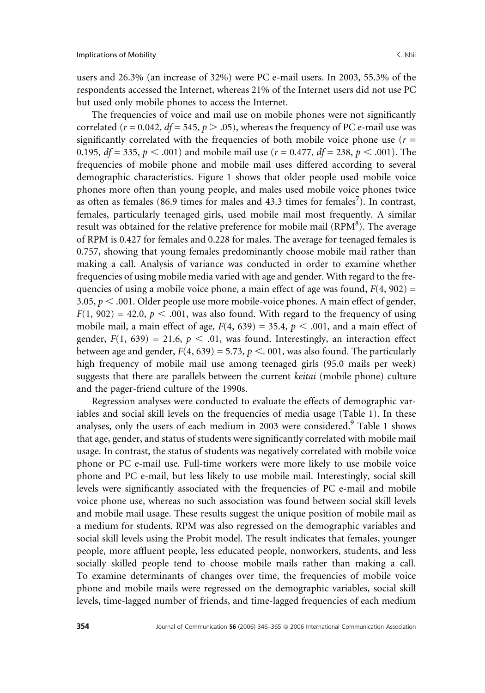users and 26.3% (an increase of 32%) were PC e-mail users. In 2003, 55.3% of the respondents accessed the Internet, whereas 21% of the Internet users did not use PC but used only mobile phones to access the Internet.

The frequencies of voice and mail use on mobile phones were not significantly correlated ( $r = 0.042$ ,  $df = 545$ ,  $p > .05$ ), whereas the frequency of PC e-mail use was significantly correlated with the frequencies of both mobile voice phone use ( $r =$ 0.195,  $df = 335$ ,  $p < .001$ ) and mobile mail use ( $r = 0.477$ ,  $df = 238$ ,  $p < .001$ ). The frequencies of mobile phone and mobile mail uses differed according to several demographic characteristics. Figure 1 shows that older people used mobile voice phones more often than young people, and males used mobile voice phones twice as often as females (86.9 times for males and 43.3 times for females<sup>7</sup>). In contrast, females, particularly teenaged girls, used mobile mail most frequently. A similar result was obtained for the relative preference for mobile mail (RPM<sup>8</sup>). The average of RPM is 0.427 for females and 0.228 for males. The average for teenaged females is 0.757, showing that young females predominantly choose mobile mail rather than making a call. Analysis of variance was conducted in order to examine whether frequencies of using mobile media varied with age and gender. With regard to the frequencies of using a mobile voice phone, a main effect of age was found,  $F(4, 902) =$ 3.05,  $p < .001$ . Older people use more mobile-voice phones. A main effect of gender,  $F(1, 902) = 42.0, p < .001$ , was also found. With regard to the frequency of using mobile mail, a main effect of age,  $F(4, 639) = 35.4$ ,  $p < .001$ , and a main effect of gender,  $F(1, 639) = 21.6$ ,  $p < .01$ , was found. Interestingly, an interaction effect between age and gender,  $F(4, 639) = 5.73$ ,  $p < .001$ , was also found. The particularly high frequency of mobile mail use among teenaged girls (95.0 mails per week) suggests that there are parallels between the current keitai (mobile phone) culture and the pager-friend culture of the 1990s.

Regression analyses were conducted to evaluate the effects of demographic variables and social skill levels on the frequencies of media usage (Table 1). In these analyses, only the users of each medium in 2003 were considered.<sup>9</sup> Table 1 shows that age, gender, and status of students were significantly correlated with mobile mail usage. In contrast, the status of students was negatively correlated with mobile voice phone or PC e-mail use. Full-time workers were more likely to use mobile voice phone and PC e-mail, but less likely to use mobile mail. Interestingly, social skill levels were significantly associated with the frequencies of PC e-mail and mobile voice phone use, whereas no such association was found between social skill levels and mobile mail usage. These results suggest the unique position of mobile mail as a medium for students. RPM was also regressed on the demographic variables and social skill levels using the Probit model. The result indicates that females, younger people, more affluent people, less educated people, nonworkers, students, and less socially skilled people tend to choose mobile mails rather than making a call. To examine determinants of changes over time, the frequencies of mobile voice phone and mobile mails were regressed on the demographic variables, social skill levels, time-lagged number of friends, and time-lagged frequencies of each medium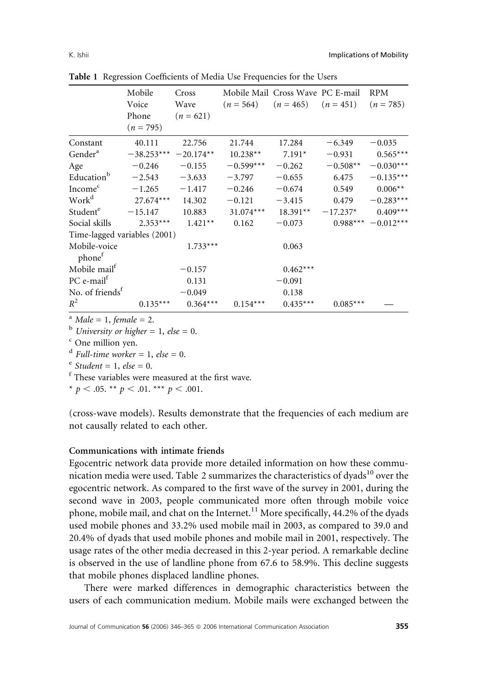|                                    | Mobile       | Cross       | Mobile Mail Cross Wave PC E-mail                |            |            | <b>RPM</b>            |
|------------------------------------|--------------|-------------|-------------------------------------------------|------------|------------|-----------------------|
|                                    | Voice        | Wave        | $(n = 564)$ $(n = 465)$ $(n = 451)$ $(n = 785)$ |            |            |                       |
|                                    | Phone        | $(n = 621)$ |                                                 |            |            |                       |
|                                    | $(n = 795)$  |             |                                                 |            |            |                       |
| Constant                           | 40.111       | 22.756      | 21.744                                          | 17.284     | $-6.349$   | $-0.035$              |
| Gender <sup>a</sup>                | $-38.253***$ | $-20.174**$ | $10.238**$                                      | $7.191*$   | $-0.931$   | $0.565***$            |
| Age                                | $-0.246$     | $-0.155$    | $-0.599***$                                     | $-0.262$   | $-0.508**$ | $-0.030***$           |
| Education <sup>b</sup>             | $-2.543$     | $-3.633$    | $-3.797$                                        | $-0.655$   | 6.475      | $-0.135***$           |
| Income <sup>c</sup>                | $-1.265$     | $-1.417$    | $-0.246$                                        | $-0.674$   | 0.549      | $0.006**$             |
| Work <sup>d</sup>                  | $27.674***$  | 14.302      | $-0.121$                                        | $-3.415$   | 0.479      | $-0.283***$           |
| Studente                           | $-15.147$    | 10.883      | $31.074***$                                     | $18.391**$ | $-17.237*$ | $0.409***$            |
| Social skills                      | $2.353***$   | $1.421**$   | 0.162                                           | $-0.073$   |            | $0.988***$ - 0.012*** |
| Time-lagged variables (2001)       |              |             |                                                 |            |            |                       |
| Mobile-voice<br>phone <sup>f</sup> |              | $1.733***$  |                                                 | 0.063      |            |                       |
| Mobile mail <sup>f</sup>           |              | $-0.157$    |                                                 | $0.462***$ |            |                       |
| $PC$ e-mail $f$                    |              | 0.131       |                                                 | $-0.091$   |            |                       |
| No. of friends <sup>t</sup>        |              | $-0.049$    |                                                 | 0.138      |            |                       |
| $R^2$                              | $0.135***$   | $0.364***$  | $0.154***$                                      | $0.435***$ | $0.085***$ |                       |

Table 1 Regression Coefficients of Media Use Frequencies for the Users

<sup>a</sup> Male = 1, female = 2.

 $<sup>b</sup>$  University or higher = 1, else = 0.</sup>

<sup>c</sup> One million yen.

 $d$  Full-time worker = 1, else = 0.

 $^{\rm e}$  Student = 1, else = 0.

<sup>f</sup> These variables were measured at the first wave.

\*  $p < .05$ . \*\*  $p < .01$ . \*\*\*  $p < .001$ .

(cross-wave models). Results demonstrate that the frequencies of each medium are not causally related to each other.

#### Communications with intimate friends

Egocentric network data provide more detailed information on how these communication media were used. Table 2 summarizes the characteristics of dyads $^{10}$  over the egocentric network. As compared to the first wave of the survey in 2001, during the second wave in 2003, people communicated more often through mobile voice phone, mobile mail, and chat on the Internet.<sup>11</sup> More specifically, 44.2% of the dyads used mobile phones and 33.2% used mobile mail in 2003, as compared to 39.0 and 20.4% of dyads that used mobile phones and mobile mail in 2001, respectively. The usage rates of the other media decreased in this 2-year period. A remarkable decline is observed in the use of landline phone from 67.6 to 58.9%. This decline suggests that mobile phones displaced landline phones.

There were marked differences in demographic characteristics between the users of each communication medium. Mobile mails were exchanged between the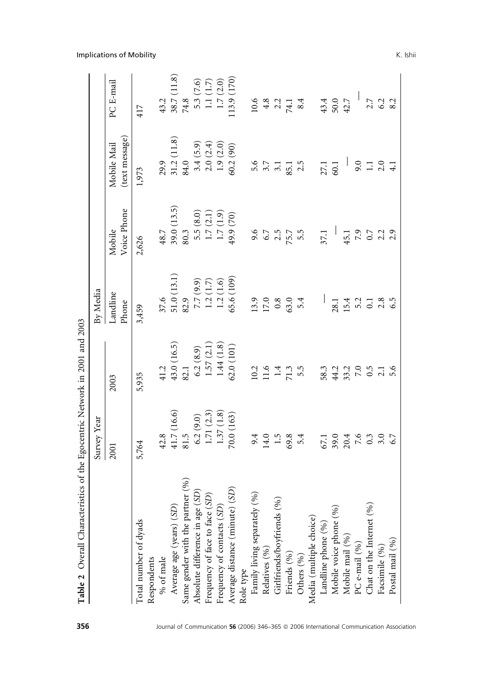| Table 2 Overall Characteristics of the Egocentric Network in 2001 and 2003                        |                                                                                                                                     |                                                    |                                                              |                                                                          |                                           |                                                                                             |
|---------------------------------------------------------------------------------------------------|-------------------------------------------------------------------------------------------------------------------------------------|----------------------------------------------------|--------------------------------------------------------------|--------------------------------------------------------------------------|-------------------------------------------|---------------------------------------------------------------------------------------------|
|                                                                                                   | Survey Year                                                                                                                         |                                                    | By Media                                                     |                                                                          |                                           |                                                                                             |
|                                                                                                   | 2001                                                                                                                                | 2003                                               | Landline<br>Phone                                            | Voice Phone<br>Mobile                                                    | (text message)<br>Mobile Mail             | PC E-mail                                                                                   |
| Total number of dyads                                                                             | 5,764                                                                                                                               | 5,935                                              | 3,459                                                        | 2,626                                                                    | 1,973                                     | 417                                                                                         |
| Respondents                                                                                       |                                                                                                                                     |                                                    |                                                              |                                                                          |                                           |                                                                                             |
| $\%$ of male                                                                                      | 42.8                                                                                                                                | 41.2                                               |                                                              | 48.7                                                                     |                                           |                                                                                             |
| Average age (years) (SD)                                                                          | $\begin{array}{l} 41.7 \ (16.6) \\ 81.5 \\ 6.2 \ (9.0) \\ 1.71 \ (2.3) \\ 1.37 \ (1.8) \\ 1.37 \ (1.8) \\ 70.0 \ (163) \end{array}$ | $43.0\ (16.5) \\ 82.1$                             | $\begin{array}{c} 37.6 \\ 51.0 \ (13.1) \\ 82.9 \end{array}$ | 39.0(13.5)                                                               | (11.8)<br>$29.9$<br>31.2 (<br>84.0        | (11.8)<br>$\frac{43.2}{38.7}$ (<br>74.8                                                     |
| Same gender with the partner (%)                                                                  |                                                                                                                                     |                                                    |                                                              | 80.3                                                                     |                                           |                                                                                             |
| Absolute difference in age                                                                        |                                                                                                                                     | 6.2(8.9)                                           |                                                              | 5.5(8.0)                                                                 |                                           |                                                                                             |
| Absolute difference in age $(S\!D)$ Frequency of face to face $(S\!D)$                            |                                                                                                                                     | 1.57(2.1)                                          |                                                              |                                                                          | 3.4 (5.9)<br>2.0 (2.4)<br>1.9 (2.0)       | $\begin{array}{c} 5.3 \ (7.6) \\ 1.1 \ (1.7) \\ 1.7 \ (2.0) \\ 1.13.9 \ (170) \end{array}$  |
| Frequency of contacts (SD)                                                                        |                                                                                                                                     | 1.44(1.8)                                          |                                                              |                                                                          |                                           |                                                                                             |
| $\left( \text{SD}\right)$<br>Average distance (minute)                                            |                                                                                                                                     | 62.0(101)                                          | 7.7 (9.9)<br>1.2 (1.7)<br>1.2 (1.6)<br>65.6 (109)            | $\begin{array}{c} 1.7 \ (2.1) \\ 1.7 \ (1.9) \\ 49.9 \ (70) \end{array}$ | 60.2(90)                                  |                                                                                             |
| Role type                                                                                         |                                                                                                                                     |                                                    |                                                              |                                                                          |                                           |                                                                                             |
| (96)<br>. .<br>Family living separately (                                                         |                                                                                                                                     |                                                    |                                                              | 9.67<br>6.7<br>5.57<br>5.57                                              |                                           | $\begin{array}{cccc}\n10.6 \\ 4.8 \\ 2.2 \\ 74.1 \\ 8.4\n\end{array}$                       |
| Relatives (%)                                                                                     |                                                                                                                                     |                                                    |                                                              |                                                                          |                                           |                                                                                             |
| Girlfriends/boyfriends (%)                                                                        | $9.4$ 0.5 8 4<br>14.0 8 9.4                                                                                                         | $10.2$<br>$11.6$<br>$11.3$<br>$5.5$                | $13.9$<br>$17.0$<br>$63.0$<br>$5.4$                          |                                                                          | $5.7$<br>$3.7$<br>$3.1$<br>$3.5$<br>$2.5$ |                                                                                             |
| Friends (%)                                                                                       |                                                                                                                                     |                                                    |                                                              |                                                                          |                                           |                                                                                             |
| Others $(\% )$                                                                                    |                                                                                                                                     |                                                    |                                                              |                                                                          |                                           |                                                                                             |
| $\begin{array}{c} \textrm{Media (multiple choice)} \\ \textrm{Landline phone } (\% ) \end{array}$ |                                                                                                                                     |                                                    |                                                              |                                                                          |                                           |                                                                                             |
|                                                                                                   |                                                                                                                                     |                                                    |                                                              | 37.1                                                                     | 27.1<br>60.1                              | $43.4$<br>$50.0$<br>$42.7$                                                                  |
|                                                                                                   |                                                                                                                                     |                                                    |                                                              |                                                                          |                                           |                                                                                             |
| Mobile voice phone (%)<br>Mobile mail (%)                                                         | $67.1$<br>$39.04$ $7.6$<br>$7.6$<br>$6.7$<br>$6.7$                                                                                  | $58.3$<br>$44.2$<br>$53.2$<br>$65$<br>$61$<br>$61$ | $28.1$<br>$15.3$ $-3.3$<br>$-3.3$<br>$-3.5$<br>$-6.5$        |                                                                          |                                           |                                                                                             |
| PC e-mail $(96)$                                                                                  |                                                                                                                                     |                                                    |                                                              |                                                                          |                                           |                                                                                             |
| Chat on the Internet (%)                                                                          |                                                                                                                                     |                                                    |                                                              |                                                                          |                                           |                                                                                             |
| Facsimile (%)                                                                                     |                                                                                                                                     |                                                    |                                                              | $45.1$<br>7.9<br>0.7<br>2.3<br>2.9                                       | $9.1$<br>$1.1$<br>$4.1$                   | $\begin{array}{c} 1 \overline{)11} \\ 0.7 \overline{)21} \\ 0.3 \overline{)32} \end{array}$ |
| Postal mail (%)                                                                                   |                                                                                                                                     |                                                    |                                                              |                                                                          |                                           |                                                                                             |

Implications of Mobility **K.** Ishii

356 Journal of Communication 56 (2006) 346-365 @ 2006 International Communication Association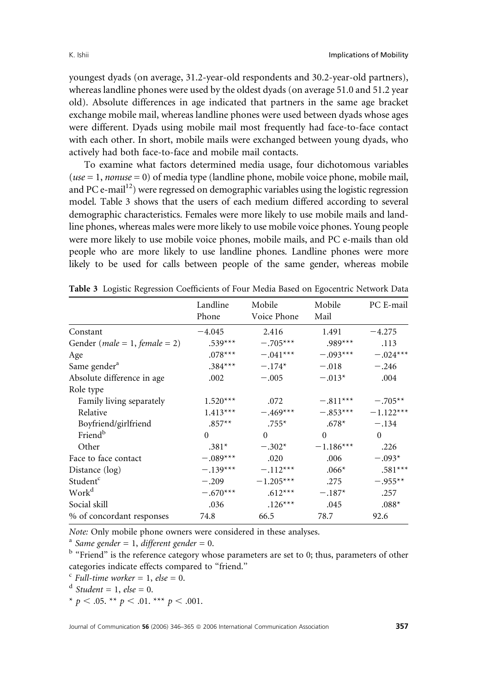youngest dyads (on average, 31.2-year-old respondents and 30.2-year-old partners), whereas landline phones were used by the oldest dyads (on average 51.0 and 51.2 year old). Absolute differences in age indicated that partners in the same age bracket exchange mobile mail, whereas landline phones were used between dyads whose ages were different. Dyads using mobile mail most frequently had face-to-face contact with each other. In short, mobile mails were exchanged between young dyads, who actively had both face-to-face and mobile mail contacts.

To examine what factors determined media usage, four dichotomous variables  $(use = 1, nonuse = 0)$  of media type (landline phone, mobile voice phone, mobile mail, and PC e-mail $12$ ) were regressed on demographic variables using the logistic regression model. Table 3 shows that the users of each medium differed according to several demographic characteristics. Females were more likely to use mobile mails and landline phones, whereas males were more likely to use mobile voice phones. Young people were more likely to use mobile voice phones, mobile mails, and PC e-mails than old people who are more likely to use landline phones. Landline phones were more likely to be used for calls between people of the same gender, whereas mobile

|                                              | Landline<br>Phone | Mobile<br>Voice Phone | Mobile<br>Mail | PC E-mail   |
|----------------------------------------------|-------------------|-----------------------|----------------|-------------|
| Constant                                     | $-4.045$          | 2.416                 | 1.491          | $-4.275$    |
| Gender ( <i>male</i> = 1, <i>female</i> = 2) | $.539***$         | $-.705***$            | $.989***$      | .113        |
| Age                                          | $.078***$         | $-.041***$            | $-.093***$     | $-.024***$  |
| Same gender <sup>a</sup>                     | $.384***$         | $-.174*$              | $-.018$        | $-.246$     |
| Absolute difference in age                   | .002              | $-.005$               | $-.013*$       | .004        |
| Role type                                    |                   |                       |                |             |
| Family living separately                     | $1.520***$        | .072                  | $-.811***$     | $-.705**$   |
| Relative                                     | $1.413***$        | $-.469***$            | $-.853***$     | $-1.122***$ |
| Boyfriend/girlfriend                         | $.857**$          | $.755*$               | $.678*$        | $-.134$     |
| Friend <sup>b</sup>                          | $\Omega$          | $\Omega$              | $\Omega$       | $\Omega$    |
| Other                                        | $.381*$           | $-.302*$              | $-1.186***$    | .226        |
| Face to face contact                         | $-.089***$        | .020                  | .006           | $-.093*$    |
| Distance (log)                               | $-.139***$        | $-.112***$            | $.066*$        | $.581***$   |
| Student <sup>c</sup>                         | $-.209$           | $-1.205***$           | .275           | $-.955**$   |
| Work <sup>d</sup>                            | $-.670***$        | $.612***$             | $-.187*$       | .257        |
| Social skill                                 | .036              | $.126***$             | .045           | $.088*$     |
| % of concordant responses                    | 74.8              | 66.5                  | 78.7           | 92.6        |

|  |  |  | Table 3 Logistic Regression Coefficients of Four Media Based on Egocentric Network Data |  |
|--|--|--|-----------------------------------------------------------------------------------------|--|
|  |  |  |                                                                                         |  |

Note: Only mobile phone owners were considered in these analyses.

<sup>a</sup> Same gender = 1, different gender = 0.

<sup>b</sup> "Friend" is the reference category whose parameters are set to 0; thus, parameters of other categories indicate effects compared to ''friend.''

- $\epsilon$  Full-time worker = 1, else = 0.
- $d$  Student = 1, else = 0.
- \*  $p < .05$ . \*\*  $p < .01$ . \*\*\*  $p < .001$ .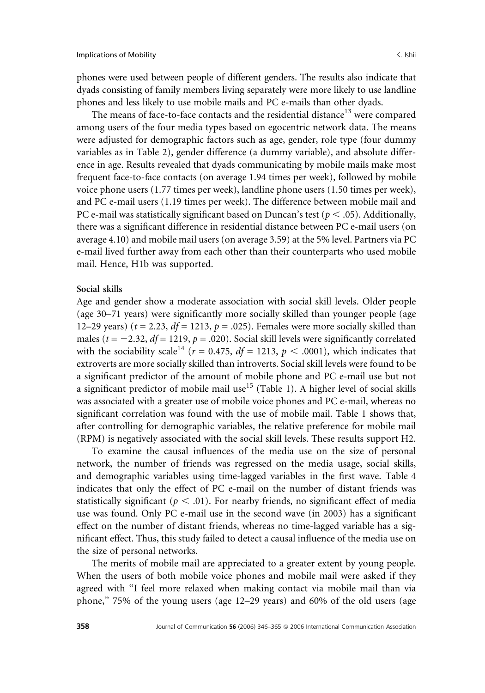phones were used between people of different genders. The results also indicate that dyads consisting of family members living separately were more likely to use landline phones and less likely to use mobile mails and PC e-mails than other dyads.

The means of face-to-face contacts and the residential distance<sup>13</sup> were compared among users of the four media types based on egocentric network data. The means were adjusted for demographic factors such as age, gender, role type (four dummy variables as in Table 2), gender difference (a dummy variable), and absolute difference in age. Results revealed that dyads communicating by mobile mails make most frequent face-to-face contacts (on average 1.94 times per week), followed by mobile voice phone users (1.77 times per week), landline phone users (1.50 times per week), and PC e-mail users (1.19 times per week). The difference between mobile mail and PC e-mail was statistically significant based on Duncan's test ( $p < .05$ ). Additionally, there was a significant difference in residential distance between PC e-mail users (on average 4.10) and mobile mail users (on average 3.59) at the 5% level. Partners via PC e-mail lived further away from each other than their counterparts who used mobile mail. Hence, H1b was supported.

#### Social skills

Age and gender show a moderate association with social skill levels. Older people (age 30–71 years) were significantly more socially skilled than younger people (age 12–29 years) ( $t = 2.23$ ,  $df = 1213$ ,  $p = .025$ ). Females were more socially skilled than males ( $t = -2.32$ ,  $df = 1219$ ,  $p = .020$ ). Social skill levels were significantly correlated with the sociability scale<sup>14</sup> ( $r = 0.475$ ,  $df = 1213$ ,  $p < .0001$ ), which indicates that extroverts are more socially skilled than introverts. Social skill levels were found to be a significant predictor of the amount of mobile phone and PC e-mail use but not a significant predictor of mobile mail use<sup>15</sup> (Table 1). A higher level of social skills was associated with a greater use of mobile voice phones and PC e-mail, whereas no significant correlation was found with the use of mobile mail. Table 1 shows that, after controlling for demographic variables, the relative preference for mobile mail (RPM) is negatively associated with the social skill levels. These results support H2.

To examine the causal influences of the media use on the size of personal network, the number of friends was regressed on the media usage, social skills, and demographic variables using time-lagged variables in the first wave. Table 4 indicates that only the effect of PC e-mail on the number of distant friends was statistically significant ( $p < .01$ ). For nearby friends, no significant effect of media use was found. Only PC e-mail use in the second wave (in 2003) has a significant effect on the number of distant friends, whereas no time-lagged variable has a significant effect. Thus, this study failed to detect a causal influence of the media use on the size of personal networks.

The merits of mobile mail are appreciated to a greater extent by young people. When the users of both mobile voice phones and mobile mail were asked if they agreed with ''I feel more relaxed when making contact via mobile mail than via phone,'' 75% of the young users (age 12–29 years) and 60% of the old users (age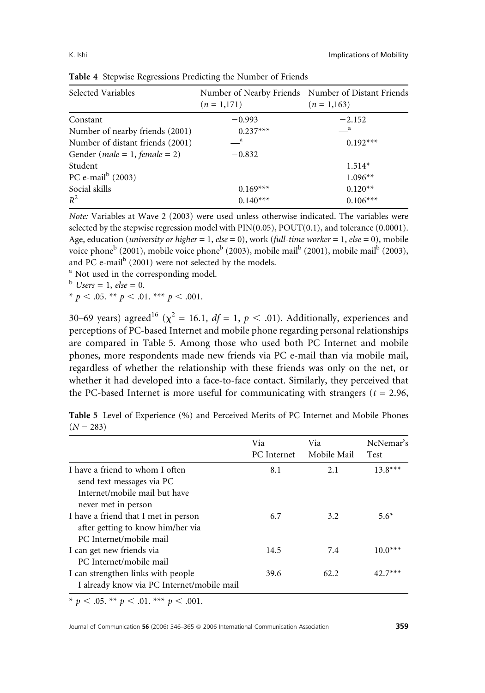| Selected Variables                           | $(n = 1,171)$ | Number of Nearby Friends Number of Distant Friends<br>$(n = 1,163)$ |
|----------------------------------------------|---------------|---------------------------------------------------------------------|
| Constant                                     | $-0.993$      | $-2.152$                                                            |
| Number of nearby friends (2001)              | $0.237***$    | $\mathbf{a}$                                                        |
| Number of distant friends (2001)             | a a           | $0.192***$                                                          |
| Gender ( <i>male</i> = 1, <i>female</i> = 2) | $-0.832$      |                                                                     |
| Student                                      |               | $1.514*$                                                            |
| PC e-mail $^{\rm b}$ (2003)                  |               | $1.096**$                                                           |
| Social skills                                | $0.169***$    | $0.120**$                                                           |
| $R^2$                                        | $0.140***$    | $0.106***$                                                          |

Table 4 Stepwise Regressions Predicting the Number of Friends

Note: Variables at Wave 2 (2003) were used unless otherwise indicated. The variables were selected by the stepwise regression model with  $\text{PIN}(0.05)$ ,  $\text{POUT}(0.1)$ , and tolerance  $(0.0001)$ . Age, education (*university or higher* = 1, *else* = 0), work (*full-time worker* = 1, *else* = 0), mobile voice phone<sup>b</sup> (2001), mobile voice phone<sup>b</sup> (2003), mobile mail<sup>b</sup> (2001), mobile mail<sup>b</sup> (2003), and PC e-mail $\rm{^{b}}$  (2001) were not selected by the models.

<sup>a</sup> Not used in the corresponding model.

 $<sup>b</sup>$  Users = 1, else = 0.</sup>

\*  $p < .05$ . \*\*  $p < .01$ . \*\*\*  $p < .001$ .

30–69 years) agreed<sup>16</sup> ( $\chi^2$  = 16.1, *df* = 1, *p* < .01). Additionally, experiences and perceptions of PC-based Internet and mobile phone regarding personal relationships are compared in Table 5. Among those who used both PC Internet and mobile phones, more respondents made new friends via PC e-mail than via mobile mail, regardless of whether the relationship with these friends was only on the net, or whether it had developed into a face-to-face contact. Similarly, they perceived that the PC-based Internet is more useful for communicating with strangers ( $t = 2.96$ ,

Table 5 Level of Experience (%) and Perceived Merits of PC Internet and Mobile Phones  $(N = 283)$ 

|                                                                                                      | Via<br><b>PC</b> Internet | Via<br>Mobile Mail | NcNemar's<br><b>Test</b> |
|------------------------------------------------------------------------------------------------------|---------------------------|--------------------|--------------------------|
| I have a friend to whom I often<br>send text messages via PC                                         | 8.1                       | 2.1                | $13.8***$                |
| Internet/mobile mail but have<br>never met in person                                                 |                           |                    |                          |
| I have a friend that I met in person<br>after getting to know him/her via<br>PC Internet/mobile mail | 6.7                       | 3.2                | $5.6*$                   |
| I can get new friends via<br>PC Internet/mobile mail                                                 | 14.5                      | 7.4                | $10.0***$                |
| I can strengthen links with people<br>I already know via PC Internet/mobile mail                     | 39.6                      | 62.2               | $42.7***$                |
|                                                                                                      |                           |                    |                          |

\*  $p < .05$ . \*\*  $p < .01$ . \*\*\*  $p < .001$ .

Journal of Communication 56 (2006) 346–365  $\circ$  2006 International Communication Association  $\overline{\phantom{259}}$  359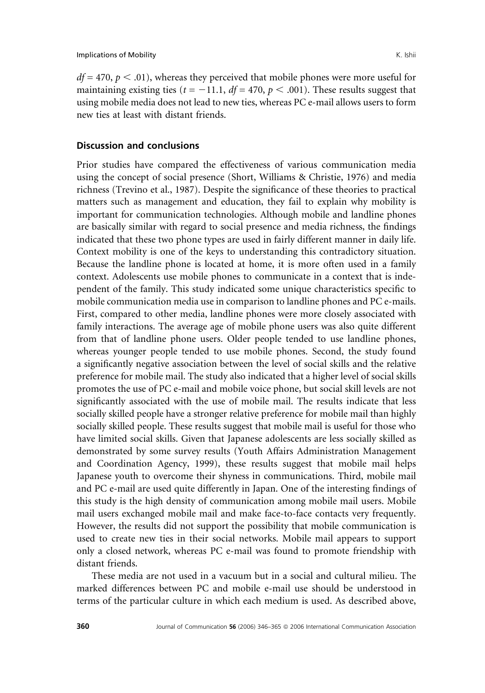$df = 470$ ,  $p < .01$ ), whereas they perceived that mobile phones were more useful for maintaining existing ties ( $t = -11.1$ ,  $df = 470$ ,  $p < .001$ ). These results suggest that using mobile media does not lead to new ties, whereas PC e-mail allows users to form new ties at least with distant friends.

### Discussion and conclusions

Prior studies have compared the effectiveness of various communication media using the concept of social presence (Short, Williams & Christie, 1976) and media richness (Trevino et al., 1987). Despite the significance of these theories to practical matters such as management and education, they fail to explain why mobility is important for communication technologies. Although mobile and landline phones are basically similar with regard to social presence and media richness, the findings indicated that these two phone types are used in fairly different manner in daily life. Context mobility is one of the keys to understanding this contradictory situation. Because the landline phone is located at home, it is more often used in a family context. Adolescents use mobile phones to communicate in a context that is independent of the family. This study indicated some unique characteristics specific to mobile communication media use in comparison to landline phones and PC e-mails. First, compared to other media, landline phones were more closely associated with family interactions. The average age of mobile phone users was also quite different from that of landline phone users. Older people tended to use landline phones, whereas younger people tended to use mobile phones. Second, the study found a significantly negative association between the level of social skills and the relative preference for mobile mail. The study also indicated that a higher level of social skills promotes the use of PC e-mail and mobile voice phone, but social skill levels are not significantly associated with the use of mobile mail. The results indicate that less socially skilled people have a stronger relative preference for mobile mail than highly socially skilled people. These results suggest that mobile mail is useful for those who have limited social skills. Given that Japanese adolescents are less socially skilled as demonstrated by some survey results (Youth Affairs Administration Management and Coordination Agency, 1999), these results suggest that mobile mail helps Japanese youth to overcome their shyness in communications. Third, mobile mail and PC e-mail are used quite differently in Japan. One of the interesting findings of this study is the high density of communication among mobile mail users. Mobile mail users exchanged mobile mail and make face-to-face contacts very frequently. However, the results did not support the possibility that mobile communication is used to create new ties in their social networks. Mobile mail appears to support only a closed network, whereas PC e-mail was found to promote friendship with distant friends.

These media are not used in a vacuum but in a social and cultural milieu. The marked differences between PC and mobile e-mail use should be understood in terms of the particular culture in which each medium is used. As described above,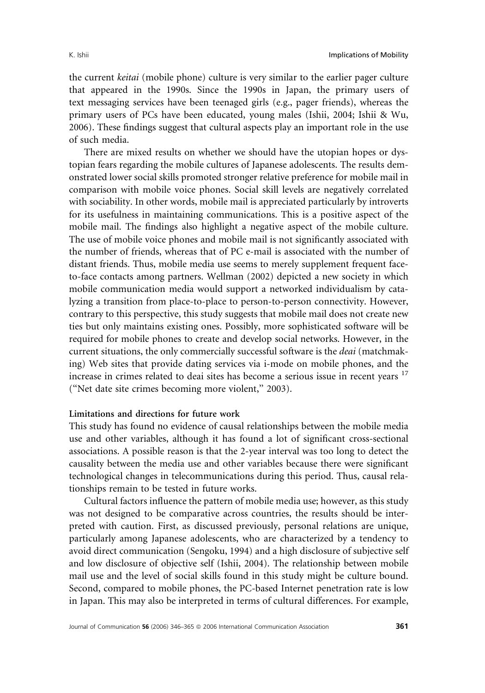the current keitai (mobile phone) culture is very similar to the earlier pager culture that appeared in the 1990s. Since the 1990s in Japan, the primary users of text messaging services have been teenaged girls (e.g., pager friends), whereas the primary users of PCs have been educated, young males (Ishii, 2004; Ishii & Wu, 2006). These findings suggest that cultural aspects play an important role in the use of such media.

There are mixed results on whether we should have the utopian hopes or dystopian fears regarding the mobile cultures of Japanese adolescents. The results demonstrated lower social skills promoted stronger relative preference for mobile mail in comparison with mobile voice phones. Social skill levels are negatively correlated with sociability. In other words, mobile mail is appreciated particularly by introverts for its usefulness in maintaining communications. This is a positive aspect of the mobile mail. The findings also highlight a negative aspect of the mobile culture. The use of mobile voice phones and mobile mail is not significantly associated with the number of friends, whereas that of PC e-mail is associated with the number of distant friends. Thus, mobile media use seems to merely supplement frequent faceto-face contacts among partners. Wellman (2002) depicted a new society in which mobile communication media would support a networked individualism by catalyzing a transition from place-to-place to person-to-person connectivity. However, contrary to this perspective, this study suggests that mobile mail does not create new ties but only maintains existing ones. Possibly, more sophisticated software will be required for mobile phones to create and develop social networks. However, in the current situations, the only commercially successful software is the *deai* (matchmaking) Web sites that provide dating services via i-mode on mobile phones, and the increase in crimes related to deai sites has become a serious issue in recent years <sup>17</sup> (''Net date site crimes becoming more violent,'' 2003).

### Limitations and directions for future work

This study has found no evidence of causal relationships between the mobile media use and other variables, although it has found a lot of significant cross-sectional associations. A possible reason is that the 2-year interval was too long to detect the causality between the media use and other variables because there were significant technological changes in telecommunications during this period. Thus, causal relationships remain to be tested in future works.

Cultural factors influence the pattern of mobile media use; however, as this study was not designed to be comparative across countries, the results should be interpreted with caution. First, as discussed previously, personal relations are unique, particularly among Japanese adolescents, who are characterized by a tendency to avoid direct communication (Sengoku, 1994) and a high disclosure of subjective self and low disclosure of objective self (Ishii, 2004). The relationship between mobile mail use and the level of social skills found in this study might be culture bound. Second, compared to mobile phones, the PC-based Internet penetration rate is low in Japan. This may also be interpreted in terms of cultural differences. For example,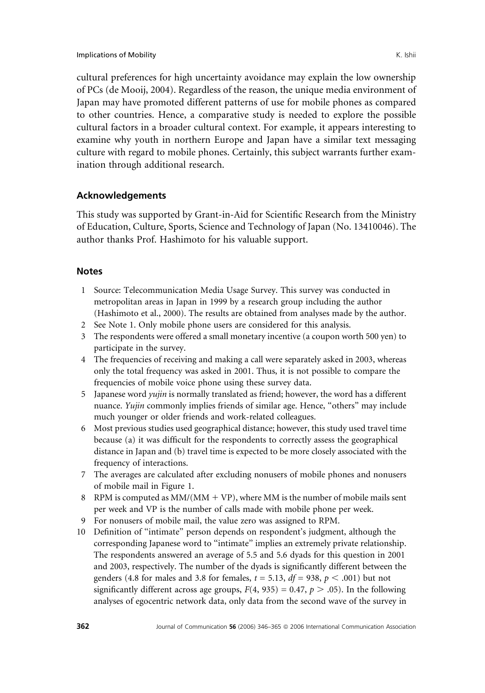cultural preferences for high uncertainty avoidance may explain the low ownership of PCs (de Mooij, 2004). Regardless of the reason, the unique media environment of Japan may have promoted different patterns of use for mobile phones as compared to other countries. Hence, a comparative study is needed to explore the possible cultural factors in a broader cultural context. For example, it appears interesting to examine why youth in northern Europe and Japan have a similar text messaging culture with regard to mobile phones. Certainly, this subject warrants further examination through additional research.

## Acknowledgements

This study was supported by Grant-in-Aid for Scientific Research from the Ministry of Education, Culture, Sports, Science and Technology of Japan (No. 13410046). The author thanks Prof. Hashimoto for his valuable support.

### **Notes**

- 1 Source: Telecommunication Media Usage Survey. This survey was conducted in metropolitan areas in Japan in 1999 by a research group including the author (Hashimoto et al., 2000). The results are obtained from analyses made by the author.
- 2 See Note 1. Only mobile phone users are considered for this analysis.
- 3 The respondents were offered a small monetary incentive (a coupon worth 500 yen) to participate in the survey.
- 4 The frequencies of receiving and making a call were separately asked in 2003, whereas only the total frequency was asked in 2001. Thus, it is not possible to compare the frequencies of mobile voice phone using these survey data.
- 5 Japanese word yujin is normally translated as friend; however, the word has a different nuance. Yujin commonly implies friends of similar age. Hence, "others" may include much younger or older friends and work-related colleagues.
- 6 Most previous studies used geographical distance; however, this study used travel time because (a) it was difficult for the respondents to correctly assess the geographical distance in Japan and (b) travel time is expected to be more closely associated with the frequency of interactions.
- 7 The averages are calculated after excluding nonusers of mobile phones and nonusers of mobile mail in Figure 1.
- 8 RPM is computed as  $MM/(MM + VP)$ , where MM is the number of mobile mails sent per week and VP is the number of calls made with mobile phone per week.
- 9 For nonusers of mobile mail, the value zero was assigned to RPM.
- 10 Definition of ''intimate'' person depends on respondent's judgment, although the corresponding Japanese word to ''intimate'' implies an extremely private relationship. The respondents answered an average of 5.5 and 5.6 dyads for this question in 2001 and 2003, respectively. The number of the dyads is significantly different between the genders (4.8 for males and 3.8 for females,  $t = 5.13$ ,  $df = 938$ ,  $p < .001$ ) but not significantly different across age groups,  $F(4, 935) = 0.47$ ,  $p > .05$ ). In the following analyses of egocentric network data, only data from the second wave of the survey in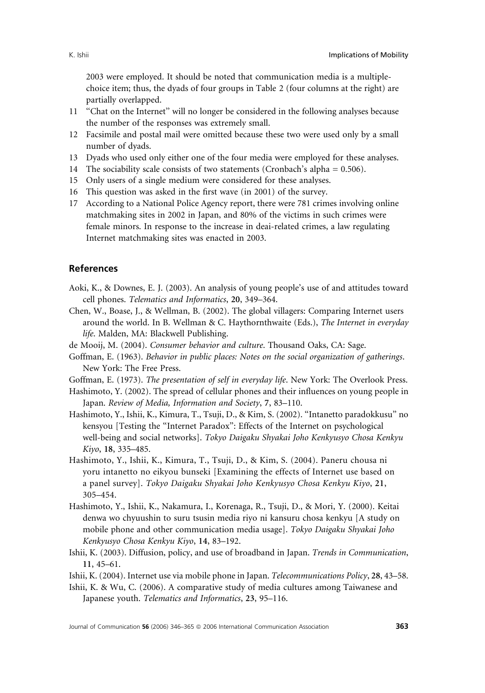2003 were employed. It should be noted that communication media is a multiplechoice item; thus, the dyads of four groups in Table 2 (four columns at the right) are partially overlapped.

- 11 ''Chat on the Internet'' will no longer be considered in the following analyses because the number of the responses was extremely small.
- 12 Facsimile and postal mail were omitted because these two were used only by a small number of dyads.
- 13 Dyads who used only either one of the four media were employed for these analyses.
- 14 The sociability scale consists of two statements (Cronbach's alpha = 0.506).
- 15 Only users of a single medium were considered for these analyses.
- 16 This question was asked in the first wave (in 2001) of the survey.
- 17 According to a National Police Agency report, there were 781 crimes involving online matchmaking sites in 2002 in Japan, and 80% of the victims in such crimes were female minors. In response to the increase in deai-related crimes, a law regulating Internet matchmaking sites was enacted in 2003.

### References

- Aoki, K., & Downes, E. J. (2003). An analysis of young people's use of and attitudes toward cell phones. Telematics and Informatics, 20, 349–364.
- Chen, W., Boase, J., & Wellman, B. (2002). The global villagers: Comparing Internet users around the world. In B. Wellman & C. Haythornthwaite (Eds.), The Internet in everyday life. Malden, MA: Blackwell Publishing.
- de Mooij, M. (2004). Consumer behavior and culture. Thousand Oaks, CA: Sage.
- Goffman, E. (1963). Behavior in public places: Notes on the social organization of gatherings. New York: The Free Press.
- Goffman, E. (1973). The presentation of self in everyday life. New York: The Overlook Press.
- Hashimoto, Y. (2002). The spread of cellular phones and their influences on young people in Japan. Review of Media, Information and Society, 7, 83–110.
- Hashimoto, Y., Ishii, K., Kimura, T., Tsuji, D., & Kim, S. (2002). ''Intanetto paradokkusu'' no kensyou [Testing the ''Internet Paradox'': Effects of the Internet on psychological well-being and social networks]. Tokyo Daigaku Shyakai Joho Kenkyusyo Chosa Kenkyu Kiyo, 18, 335–485.
- Hashimoto, Y., Ishii, K., Kimura, T., Tsuji, D., & Kim, S. (2004). Paneru chousa ni yoru intanetto no eikyou bunseki [Examining the effects of Internet use based on a panel survey]. Tokyo Daigaku Shyakai Joho Kenkyusyo Chosa Kenkyu Kiyo, 21, 305–454.
- Hashimoto, Y., Ishii, K., Nakamura, I., Korenaga, R., Tsuji, D., & Mori, Y. (2000). Keitai denwa wo chyuushin to suru tsusin media riyo ni kansuru chosa kenkyu [A study on mobile phone and other communication media usage]. Tokyo Daigaku Shyakai Joho Kenkyusyo Chosa Kenkyu Kiyo, 14, 83–192.
- Ishii, K. (2003). Diffusion, policy, and use of broadband in Japan. Trends in Communication, 11, 45–61.

Ishii, K. (2004). Internet use via mobile phone in Japan. Telecommunications Policy, 28, 43–58.

Ishii, K. & Wu, C. (2006). A comparative study of media cultures among Taiwanese and Japanese youth. Telematics and Informatics, 23, 95–116.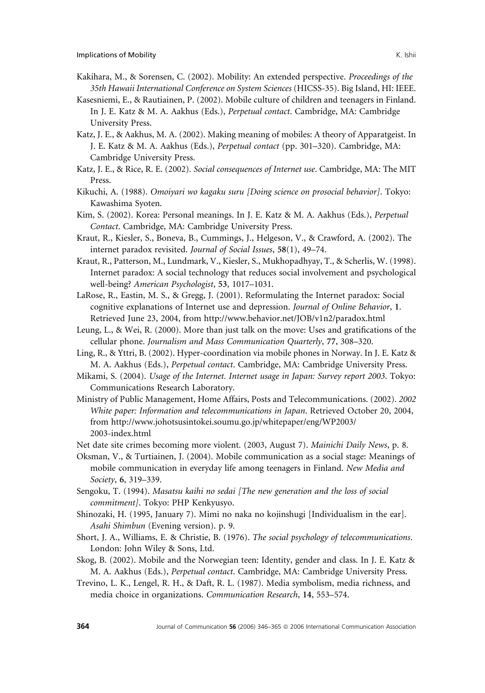- Kakihara, M., & Sorensen, C. (2002). Mobility: An extended perspective. Proceedings of the 35th Hawaii International Conference on System Sciences (HICSS-35). Big Island, HI: IEEE.
- Kasesniemi, E., & Rautiainen, P. (2002). Mobile culture of children and teenagers in Finland. In J. E. Katz & M. A. Aakhus (Eds.), Perpetual contact. Cambridge, MA: Cambridge University Press.
- Katz, J. E., & Aakhus, M. A. (2002). Making meaning of mobiles: A theory of Apparatgeist. In J. E. Katz & M. A. Aakhus (Eds.), Perpetual contact (pp. 301–320). Cambridge, MA: Cambridge University Press.
- Katz, J. E., & Rice, R. E. (2002). Social consequences of Internet use. Cambridge, MA: The MIT Press.
- Kikuchi, A. (1988). Omoiyari wo kagaku suru [Doing science on prosocial behavior]. Tokyo: Kawashima Syoten.
- Kim, S. (2002). Korea: Personal meanings. In J. E. Katz & M. A. Aakhus (Eds.), Perpetual Contact. Cambridge, MA: Cambridge University Press.
- Kraut, R., Kiesler, S., Boneva, B., Cummings, J., Helgeson, V., & Crawford, A. (2002). The internet paradox revisited. Journal of Social Issues, 58(1), 49–74.
- Kraut, R., Patterson, M., Lundmark, V., Kiesler, S., Mukhopadhyay, T., & Scherlis, W. (1998). Internet paradox: A social technology that reduces social involvement and psychological well-being? American Psychologist, 53, 1017–1031.
- LaRose, R., Eastin, M. S., & Gregg, J. (2001). Reformulating the Internet paradox: Social cognitive explanations of Internet use and depression. Journal of Online Behavior, 1. Retrieved June 23, 2004, from http://www.behavior.net/JOB/v1n2/paradox.html
- Leung, L., & Wei, R. (2000). More than just talk on the move: Uses and gratifications of the cellular phone. Journalism and Mass Communication Quarterly, 77, 308–320.
- Ling, R., & Yttri, B. (2002). Hyper-coordination via mobile phones in Norway. In J. E. Katz & M. A. Aakhus (Eds.), Perpetual contact. Cambridge, MA: Cambridge University Press.
- Mikami, S. (2004). Usage of the Internet. Internet usage in Japan: Survey report 2003. Tokyo: Communications Research Laboratory.
- Ministry of Public Management, Home Affairs, Posts and Telecommunications. (2002). 2002 White paper: Information and telecommunications in Japan. Retrieved October 20, 2004, from http://www.johotsusintokei.soumu.go.jp/whitepaper/eng/WP2003/ 2003-index.html
- Net date site crimes becoming more violent. (2003, August 7). Mainichi Daily News, p. 8.
- Oksman, V., & Turtiainen, J. (2004). Mobile communication as a social stage: Meanings of mobile communication in everyday life among teenagers in Finland. New Media and Society, 6, 319–339.
- Sengoku, T. (1994). Masatsu kaihi no sedai [The new generation and the loss of social commitment]. Tokyo: PHP Kenkyusyo.
- Shinozaki, H. (1995, January 7). Mimi no naka no kojinshugi [Individualism in the ear]. Asahi Shimbun (Evening version). p. 9.
- Short, J. A., Williams, E. & Christie, B. (1976). The social psychology of telecommunications. London: John Wiley & Sons, Ltd.
- Skog, B. (2002). Mobile and the Norwegian teen: Identity, gender and class. In J. E. Katz & M. A. Aakhus (Eds.), Perpetual contact. Cambridge, MA: Cambridge University Press.
- Trevino, L. K., Lengel, R. H., & Daft, R. L. (1987). Media symbolism, media richness, and media choice in organizations. Communication Research, 14, 553–574.